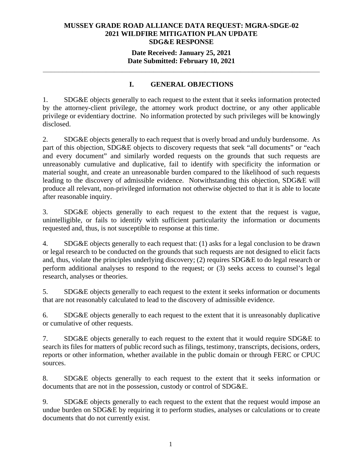## **MUSSEY GRADE ROAD ALLIANCE DATA REQUEST: MGRA-SDGE-02 2021 WILDFIRE MITIGATION PLAN UPDATE SDG&E RESPONSE**

## **Date Received: January 25, 2021 Date Submitted: February 10, 2021**

# **I. GENERAL OBJECTIONS**

**\_\_\_\_\_\_\_\_\_\_\_\_\_\_\_\_\_\_\_\_\_\_\_\_\_\_\_\_\_\_\_\_\_\_\_\_\_\_\_\_\_\_\_\_\_\_\_\_\_\_\_\_\_\_\_\_\_\_\_\_\_\_\_\_\_\_\_\_\_\_** 

1. SDG&E objects generally to each request to the extent that it seeks information protected by the attorney-client privilege, the attorney work product doctrine, or any other applicable privilege or evidentiary doctrine. No information protected by such privileges will be knowingly disclosed.

2. SDG&E objects generally to each request that is overly broad and unduly burdensome. As part of this objection, SDG&E objects to discovery requests that seek "all documents" or "each and every document" and similarly worded requests on the grounds that such requests are unreasonably cumulative and duplicative, fail to identify with specificity the information or material sought, and create an unreasonable burden compared to the likelihood of such requests leading to the discovery of admissible evidence. Notwithstanding this objection, SDG&E will produce all relevant, non-privileged information not otherwise objected to that it is able to locate after reasonable inquiry.

3. SDG&E objects generally to each request to the extent that the request is vague, unintelligible, or fails to identify with sufficient particularity the information or documents requested and, thus, is not susceptible to response at this time.

4. SDG&E objects generally to each request that: (1) asks for a legal conclusion to be drawn or legal research to be conducted on the grounds that such requests are not designed to elicit facts and, thus, violate the principles underlying discovery; (2) requires SDG&E to do legal research or perform additional analyses to respond to the request; or (3) seeks access to counsel's legal research, analyses or theories.

5. SDG&E objects generally to each request to the extent it seeks information or documents that are not reasonably calculated to lead to the discovery of admissible evidence.

6. SDG&E objects generally to each request to the extent that it is unreasonably duplicative or cumulative of other requests.

7. SDG&E objects generally to each request to the extent that it would require SDG&E to search its files for matters of public record such as filings, testimony, transcripts, decisions, orders, reports or other information, whether available in the public domain or through FERC or CPUC sources.

8. SDG&E objects generally to each request to the extent that it seeks information or documents that are not in the possession, custody or control of SDG&E.

9. SDG&E objects generally to each request to the extent that the request would impose an undue burden on SDG&E by requiring it to perform studies, analyses or calculations or to create documents that do not currently exist.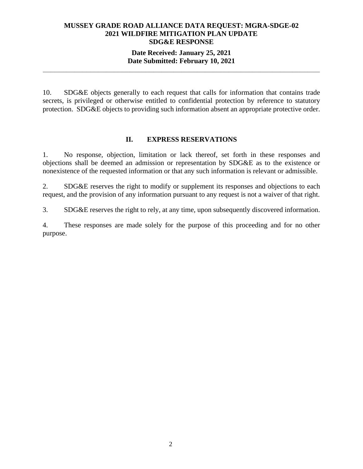## **MUSSEY GRADE ROAD ALLIANCE DATA REQUEST: MGRA-SDGE-02 2021 WILDFIRE MITIGATION PLAN UPDATE SDG&E RESPONSE**

## **Date Received: January 25, 2021 Date Submitted: February 10, 2021**

**\_\_\_\_\_\_\_\_\_\_\_\_\_\_\_\_\_\_\_\_\_\_\_\_\_\_\_\_\_\_\_\_\_\_\_\_\_\_\_\_\_\_\_\_\_\_\_\_\_\_\_\_\_\_\_\_\_\_\_\_\_\_\_\_\_\_\_\_\_\_** 

10. SDG&E objects generally to each request that calls for information that contains trade secrets, is privileged or otherwise entitled to confidential protection by reference to statutory protection. SDG&E objects to providing such information absent an appropriate protective order.

#### **II. EXPRESS RESERVATIONS**

1. No response, objection, limitation or lack thereof, set forth in these responses and objections shall be deemed an admission or representation by SDG&E as to the existence or nonexistence of the requested information or that any such information is relevant or admissible.

2. SDG&E reserves the right to modify or supplement its responses and objections to each request, and the provision of any information pursuant to any request is not a waiver of that right.

3. SDG&E reserves the right to rely, at any time, upon subsequently discovered information.

4. These responses are made solely for the purpose of this proceeding and for no other purpose.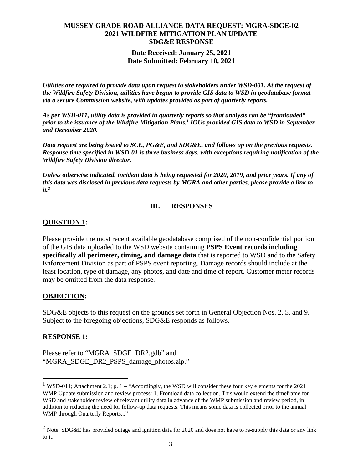### **MUSSEY GRADE ROAD ALLIANCE DATA REQUEST: MGRA-SDGE-02 2021 WILDFIRE MITIGATION PLAN UPDATE SDG&E RESPONSE**

## **Date Received: January 25, 2021 Date Submitted: February 10, 2021**

**\_\_\_\_\_\_\_\_\_\_\_\_\_\_\_\_\_\_\_\_\_\_\_\_\_\_\_\_\_\_\_\_\_\_\_\_\_\_\_\_\_\_\_\_\_\_\_\_\_\_\_\_\_\_\_\_\_\_\_\_\_\_\_\_\_\_\_\_\_\_** 

*Utilities are required to provide data upon request to stakeholders under WSD-001. At the request of the Wildfire Safety Division, utilities have begun to provide GIS data to WSD in geodatabase format via a secure Commission website, with updates provided as part of quarterly reports.* 

*As per WSD-011, utility data is provided in quarterly reports so that analysis can be "frontloaded" prior to the issuance of the Wildfire Mitigation Plans.1 IOUs provided GIS data to WSD in September and December 2020.* 

*Data request are being issued to SCE, PG&E, and SDG&E, and follows up on the previous requests. Response time specified in WSD-01 is three business days, with exceptions requiring notification of the Wildfire Safety Division director.* 

*Unless otherwise indicated, incident data is being requested for 2020, 2019, and prior years. If any of this data was disclosed in previous data requests by MGRA and other parties, please provide a link to it.2*

## **III. RESPONSES**

## **QUESTION 1:**

Please provide the most recent available geodatabase comprised of the non-confidential portion of the GIS data uploaded to the WSD website containing **PSPS Event records including specifically all perimeter, timing, and damage data** that is reported to WSD and to the Safety Enforcement Division as part of PSPS event reporting. Damage records should include at the least location, type of damage, any photos, and date and time of report. Customer meter records may be omitted from the data response.

#### **OBJECTION:**

SDG&E objects to this request on the grounds set forth in General Objection Nos. 2, 5, and 9. Subject to the foregoing objections, SDG&E responds as follows.

#### **RESPONSE 1:**

Please refer to "MGRA\_SDGE\_DR2.gdb" and "MGRA\_SDGE\_DR2\_PSPS\_damage\_photos.zip."

<sup>&</sup>lt;sup>1</sup> WSD-011; Attachment 2.1; p. 1 – "Accordingly, the WSD will consider these four key elements for the 2021 WMP Update submission and review process: 1. Frontload data collection. This would extend the timeframe for WSD and stakeholder review of relevant utility data in advance of the WMP submission and review period, in addition to reducing the need for follow-up data requests. This means some data is collected prior to the annual WMP through Quarterly Reports..."

<sup>&</sup>lt;sup>2</sup> Note, SDG&E has provided outage and ignition data for 2020 and does not have to re-supply this data or any link to it.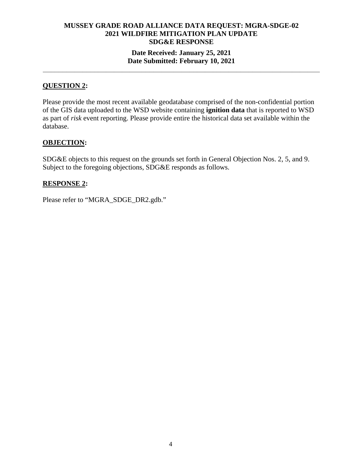## **MUSSEY GRADE ROAD ALLIANCE DATA REQUEST: MGRA-SDGE-02 2021 WILDFIRE MITIGATION PLAN UPDATE SDG&E RESPONSE Date Received: January 25, 2021 Date Submitted: February 10, 2021**

**\_\_\_\_\_\_\_\_\_\_\_\_\_\_\_\_\_\_\_\_\_\_\_\_\_\_\_\_\_\_\_\_\_\_\_\_\_\_\_\_\_\_\_\_\_\_\_\_\_\_\_\_\_\_\_\_\_\_\_\_\_\_\_\_\_\_\_\_\_\_** 

#### **QUESTION 2:**

Please provide the most recent available geodatabase comprised of the non-confidential portion of the GIS data uploaded to the WSD website containing **ignition data** that is reported to WSD as part of *risk* event reporting. Please provide entire the historical data set available within the database.

#### **OBJECTION:**

SDG&E objects to this request on the grounds set forth in General Objection Nos. 2, 5, and 9. Subject to the foregoing objections, SDG&E responds as follows.

#### **RESPONSE 2:**

Please refer to "MGRA\_SDGE\_DR2.gdb."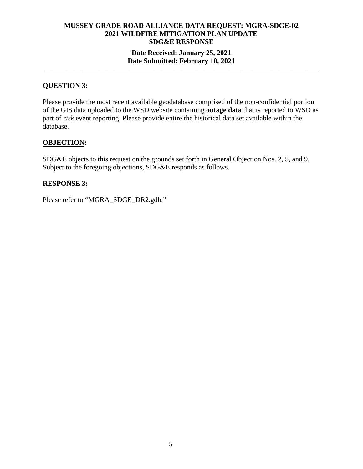# **MUSSEY GRADE ROAD ALLIANCE DATA REQUEST: MGRA-SDGE-02 2021 WILDFIRE MITIGATION PLAN UPDATE SDG&E RESPONSE Date Received: January 25, 2021**

### **Date Submitted: February 10, 2021 \_\_\_\_\_\_\_\_\_\_\_\_\_\_\_\_\_\_\_\_\_\_\_\_\_\_\_\_\_\_\_\_\_\_\_\_\_\_\_\_\_\_\_\_\_\_\_\_\_\_\_\_\_\_\_\_\_\_\_\_\_\_\_\_\_\_\_\_\_\_**

## **QUESTION 3:**

Please provide the most recent available geodatabase comprised of the non-confidential portion of the GIS data uploaded to the WSD website containing **outage data** that is reported to WSD as part of *risk* event reporting. Please provide entire the historical data set available within the database.

## **OBJECTION:**

SDG&E objects to this request on the grounds set forth in General Objection Nos. 2, 5, and 9. Subject to the foregoing objections, SDG&E responds as follows.

#### **RESPONSE 3:**

Please refer to "MGRA\_SDGE\_DR2.gdb."